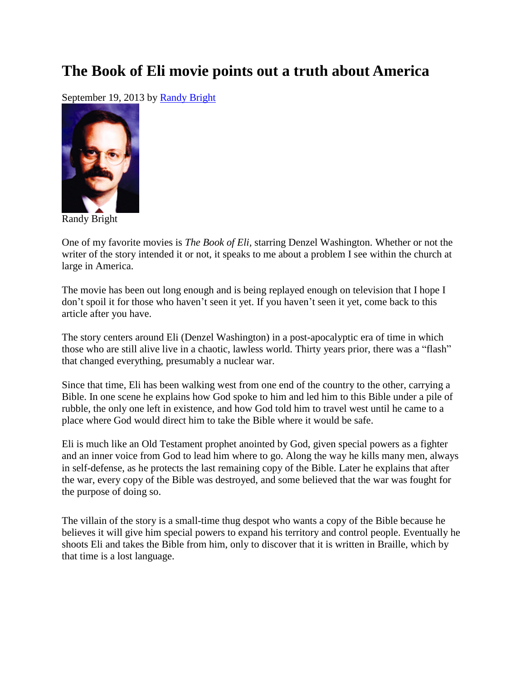## **The Book of Eli movie points out a truth about America**

September 19, 2013 by [Randy Bright](http://tulsabeacon.com/writers/randy-bright/)



Randy Bright

One of my favorite movies is *The Book of Eli,* starring Denzel Washington. Whether or not the writer of the story intended it or not, it speaks to me about a problem I see within the church at large in America.

The movie has been out long enough and is being replayed enough on television that I hope I don't spoil it for those who haven't seen it yet. If you haven't seen it yet, come back to this article after you have.

The story centers around Eli (Denzel Washington) in a post-apocalyptic era of time in which those who are still alive live in a chaotic, lawless world. Thirty years prior, there was a "flash" that changed everything, presumably a nuclear war.

Since that time, Eli has been walking west from one end of the country to the other, carrying a Bible. In one scene he explains how God spoke to him and led him to this Bible under a pile of rubble, the only one left in existence, and how God told him to travel west until he came to a place where God would direct him to take the Bible where it would be safe.

Eli is much like an Old Testament prophet anointed by God, given special powers as a fighter and an inner voice from God to lead him where to go. Along the way he kills many men, always in self-defense, as he protects the last remaining copy of the Bible. Later he explains that after the war, every copy of the Bible was destroyed, and some believed that the war was fought for the purpose of doing so.

The villain of the story is a small-time thug despot who wants a copy of the Bible because he believes it will give him special powers to expand his territory and control people. Eventually he shoots Eli and takes the Bible from him, only to discover that it is written in Braille, which by that time is a lost language.